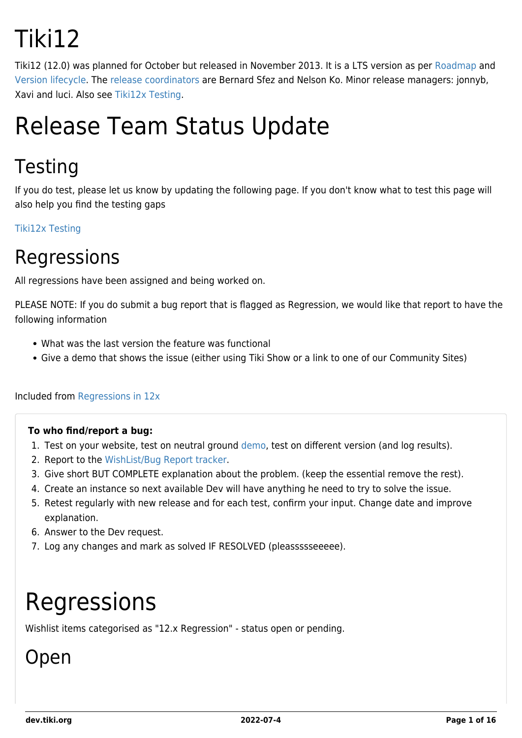# Tiki12

Tiki12 (12.0) was planned for October but released in November 2013. It is a LTS version as per [Roadmap](https://dev.tiki.org/RoadMap) and [Version lifecycle](http://info.tiki.org/Version%20lifecycle). The [release coordinators](http://tiki.org/release%20coordinators) are Bernard Sfez and Nelson Ko. Minor release managers: jonnyb, Xavi and luci. Also see [Tiki12x Testing.](https://dev.tiki.org/Tiki12x-Testing)

## Release Team Status Update

### **Testing**

If you do test, please let us know by updating the following page. If you don't know what to test this page will also help you find the testing gaps

[Tiki12x Testing](https://dev.tiki.org/Tiki12x-Testing)

#### Regressions

All regressions have been assigned and being worked on.

PLEASE NOTE: If you do submit a bug report that is flagged as Regression, we would like that report to have the following information

- What was the last version the feature was functional
- Give a demo that shows the issue (either using Tiki Show or a link to one of our Community Sites)

Included from [Regressions in 12x](https://dev.tiki.org/Regressions-in-12x)

#### **To who find/report a bug:**

- 1. Test on your website, test on neutral ground [demo](http://demo.tiki.org), test on different version (and log results).
- 2. Report to the [WishList/Bug Report tracker.](https://dev.tiki.org/Make+a+wish)
- 3. Give short BUT COMPLETE explanation about the problem. (keep the essential remove the rest).
- 4. Create an instance so next available Dev will have anything he need to try to solve the issue.
- 5. Retest regularly with new release and for each test, confirm your input. Change date and improve explanation.
- 6. Answer to the Dev request.
- 7. Log any changes and mark as solved IF RESOLVED (pleassssseeeee).

# Regressions

Wishlist items categorised as "12.x Regression" - status open or pending.

### Open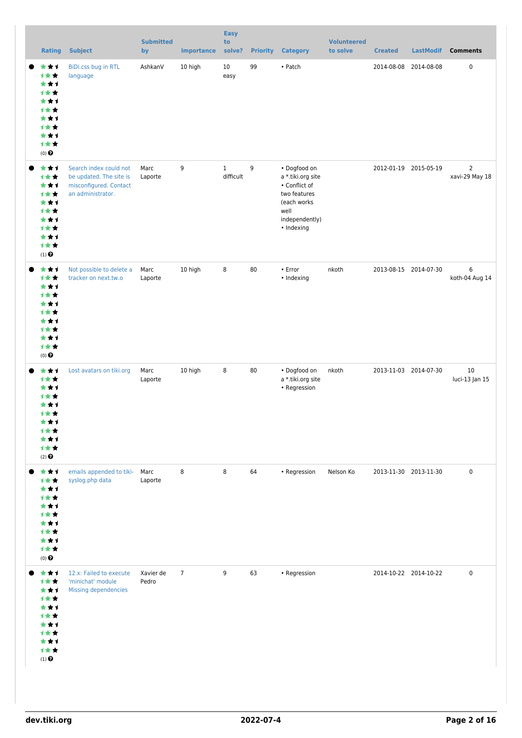| <b>Rating</b>                                                                                 | <b>Subject</b>                                                                                   | <b>Submitted</b><br>by | <b>Importance</b> | <b>Easy</b><br>to<br>solve? | <b>Priority</b> | <b>Category</b>                                                                                                           | <b>Volunteered</b><br>to solve | <b>Created</b>        | <b>LastModif</b> | <b>Comments</b>                  |
|-----------------------------------------------------------------------------------------------|--------------------------------------------------------------------------------------------------|------------------------|-------------------|-----------------------------|-----------------|---------------------------------------------------------------------------------------------------------------------------|--------------------------------|-----------------------|------------------|----------------------------------|
| ***<br>计女女<br>***<br>计女女<br>***<br>计女女<br>***<br>计女女<br>***<br>计女女<br>$(0)$ $\pmb{\Theta}$    | BiDi.css bug in RTL<br>language                                                                  | AshkanV                | 10 high           | 10<br>easy                  | 99              | • Patch                                                                                                                   |                                | 2014-08-08 2014-08-08 |                  | $\pmb{0}$                        |
| ***<br>计女女<br>***<br>计女女<br>***<br>计女女<br>***<br>计女女<br>***<br>计女女<br>$(1)$<br>$\pmb{\Theta}$ | Search index could not<br>be updated. The site is<br>misconfigured. Contact<br>an administrator. | Marc<br>Laporte        | 9                 | $\mathbf{1}$<br>difficult   | 9               | • Dogfood on<br>a *.tiki.org site<br>• Conflict of<br>two features<br>(each works<br>well<br>independently)<br>• Indexing |                                | 2012-01-19 2015-05-19 |                  | $\overline{2}$<br>xavi-29 May 18 |
| ***<br>计女女<br>***<br>计女女<br>***<br>计女女<br>***<br>计女女<br>***<br>计女女<br>$(0)$ $\odot$           | Not possible to delete a<br>tracker on next.tw.o                                                 | Marc<br>Laporte        | 10 high           | 8                           | 80              | $\cdot$ Error<br>• Indexing                                                                                               | nkoth                          | 2013-08-15 2014-07-30 |                  | 6<br>koth-04 Aug 14              |
| ***<br>计女女<br>***<br>计女女<br>★★★<br>计女女<br>***<br>计女女<br>***<br>计女女<br>$(2)$ $\odot$           | Lost avatars on tiki.org                                                                         | Marc<br>Laporte        | 10 high           | 8                           | 80              | • Dogfood on<br>a *.tiki.org site<br>• Regression                                                                         | nkoth                          | 2013-11-03 2014-07-30 |                  | 10<br>luci-13 Jan 15             |
| ***<br>计女女<br>***<br>计女女<br>***<br>计女女<br>***<br>计女女<br>***<br>计女女<br>$(0)$<br>$\pmb{\Theta}$ | emails appended to tiki-<br>syslog.php data                                                      | Marc<br>Laporte        | 8                 | 8                           | 64              | • Regression                                                                                                              | Nelson Ko                      | 2013-11-30 2013-11-30 |                  | $\pmb{0}$                        |
| ***<br>计女女<br>***<br>计女女<br>***<br>计女女<br>***<br>计女女<br>***<br>计女女<br>$(1)$ $\odot$           | 12.x: Failed to execute<br>'minichat' module<br>Missing dependencies                             | Xavier de<br>Pedro     | $7\overline{ }$   | 9                           | 63              | • Regression                                                                                                              |                                | 2014-10-22 2014-10-22 |                  | $\pmb{0}$                        |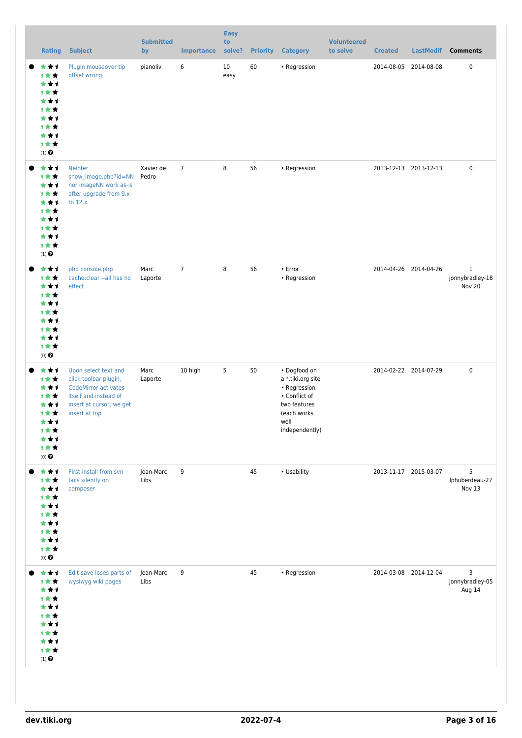|           | <b>Rating</b>                                                                                         | <b>Subject</b>                                                                                                                                     | <b>Submitted</b><br>by | <b>Importance</b> | <b>Easy</b><br>to<br>solve? |    | <b>Priority Category</b>                                                                                                    | <b>Volunteered</b><br>to solve | <b>Created</b>        | <b>LastModif</b> | <b>Comments</b>                           |
|-----------|-------------------------------------------------------------------------------------------------------|----------------------------------------------------------------------------------------------------------------------------------------------------|------------------------|-------------------|-----------------------------|----|-----------------------------------------------------------------------------------------------------------------------------|--------------------------------|-----------------------|------------------|-------------------------------------------|
|           | ***<br>1**<br>***<br>计女女<br>***<br>计女女<br>***<br>计女女<br>***<br>计女女<br>$(1)$ $\odot$                   | Plugin mouseover tip<br>offset wrong                                                                                                               | pianoliv               | 6                 | 10<br>easy                  | 60 | $\bullet$ Regression                                                                                                        |                                | 2014-08-05 2014-08-08 |                  | $\pmb{0}$                                 |
| $\bullet$ | ***<br>计女女<br>***<br>计女女<br>***<br>计女女<br>***<br>1★★<br>***<br>1★★<br>$(1)$ $\odot$                   | <b>Neihter</b><br>show_image.php?id=NN<br>nor imageNN work as-is<br>after upgrade from 9.x<br>to $12.x$                                            | Xavier de<br>Pedro     | $\overline{7}$    | 8                           | 56 | • Regression                                                                                                                |                                | 2013-12-13 2013-12-13 |                  | $\pmb{0}$                                 |
|           | ***<br>计女女<br>***<br>计女女<br>***<br>计女女<br>***<br>计女女<br>***<br>计女女<br>$(0)$ $\odot$                   | php console.php<br>cache:clear -- all has no<br>effect                                                                                             | Marc<br>Laporte        | $\overline{7}$    | 8                           | 56 | • Error<br>• Regression                                                                                                     |                                | 2014-04-26 2014-04-26 |                  | $\mathbf{1}$<br>jonnybradley-18<br>Nov 20 |
|           | ***<br>***<br>***<br>计女女<br>***<br>1★★<br>***<br>计女女<br>***<br>计女女<br>$(0)$ $\odot$                   | Upon select text and<br>click toolbar plugin,<br><b>CodeMirror activates</b><br>itself and instead of<br>insert at cursor, we get<br>insert at top | Marc<br>Laporte        | 10 high           | 5                           | 50 | • Dogfood on<br>a *.tiki.org site<br>• Regression<br>• Conflict of<br>two features<br>(each works<br>well<br>independently) |                                | 2014-02-22 2014-07-29 |                  | $\pmb{0}$                                 |
|           | ***<br>计女女<br>***<br>计女女<br>***<br>计女女<br>***<br>计女女<br>***<br>计女女<br>$(0)$ $\pmb{\Theta}$            | First install from svn<br>fails silently on<br>composer                                                                                            | Jean-Marc<br>Libs      | 9                 |                             | 45 | • Usability                                                                                                                 |                                | 2013-11-17 2015-03-07 |                  | 5<br>Iphuberdeau-27<br>Nov 13             |
|           | ***<br>计女女<br>***<br>计女女<br>***<br>计女女<br>***<br>计女女<br>***<br>计女女<br>$\left(1\right)$ $\pmb{\Theta}$ | Edit-save loses parts of<br>wysiwyg wiki pages                                                                                                     | Jean-Marc<br>Libs      | 9                 |                             | 45 | • Regression                                                                                                                |                                | 2014-03-08 2014-12-04 |                  | 3<br>jonnybradley-05<br>Aug 14            |
|           |                                                                                                       |                                                                                                                                                    |                        |                   |                             |    |                                                                                                                             |                                |                       |                  |                                           |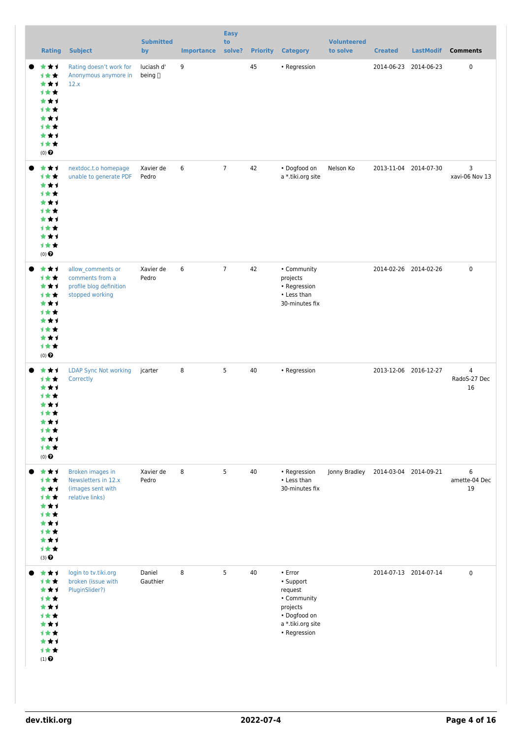| <b>Rating</b>                                                                              | <b>Subject</b>                                                                     | <b>Submitted</b><br>by | <b>Importance</b> | <b>Easy</b><br>to<br>solve? | <b>Priority</b> | <b>Category</b>                                                                                                       | <b>Volunteered</b><br>to solve | <b>Created</b>        | <b>LastModif</b> | <b>Comments</b>          |
|--------------------------------------------------------------------------------------------|------------------------------------------------------------------------------------|------------------------|-------------------|-----------------------------|-----------------|-----------------------------------------------------------------------------------------------------------------------|--------------------------------|-----------------------|------------------|--------------------------|
| ***<br>计女女<br>***<br>计女女<br>***<br>计女女<br>***<br>计女女<br>***<br>计女女<br>$(0)$ $\Theta$       | Rating doesn't work for<br>Anonymous anymore in<br>12.x                            | luciash d'<br>being [] | 9                 |                             | 45              | • Regression                                                                                                          |                                | 2014-06-23 2014-06-23 |                  | $\pmb{0}$                |
| ***<br>计女女<br>***<br>计女女<br>***<br>计女女<br>***<br>计女女<br>***<br>计女女<br>$(0)$ $\odot$        | nextdoc.t.o homepage<br>unable to generate PDF                                     | Xavier de<br>Pedro     | 6                 | $\overline{7}$              | 42              | • Dogfood on<br>a *.tiki.org site                                                                                     | Nelson Ko                      | 2013-11-04 2014-07-30 |                  | 3<br>xavi-06 Nov 13      |
| ***<br>计女女<br>***<br>计女女<br>***<br>计女女<br>***<br>计女女<br>***<br>计女女<br>$(0)$ $\odot$        | allow_comments or<br>comments from a<br>profile blog definition<br>stopped working | Xavier de<br>Pedro     | 6                 | $\overline{7}$              | 42              | • Community<br>projects<br>• Regression<br>• Less than<br>30-minutes fix                                              |                                | 2014-02-26 2014-02-26 |                  | $\pmb{0}$                |
| ***<br>1★★<br>***<br><b>1**</b><br>***<br>计女女<br>***<br>计女女<br>***<br>计女女<br>$(0)$ $\odot$ | <b>LDAP Sync Not working</b><br>Correctly                                          | jcarter                | 8                 | 5                           | 40              | • Regression                                                                                                          |                                | 2013-12-06 2016-12-27 |                  | 4<br>RadoS-27 Dec<br>16  |
| ***<br>计女女<br>***<br>计女女<br>***<br>计女女<br>***<br>计女女<br>***<br>计女女<br>$(3)$ $\odot$        | Broken images in<br>Newsletters in 12.x<br>(images sent with<br>relative links)    | Xavier de<br>Pedro     | 8                 | 5                           | 40              | • Regression<br>• Less than<br>30-minutes fix                                                                         | Jonny Bradley                  | 2014-03-04 2014-09-21 |                  | 6<br>amette-04 Dec<br>19 |
| ***<br>计女女<br>***<br>计女女<br>***<br>计女女<br>***<br>计女女<br>***<br>计女女<br>$(1)$ $\odot$        | login to tv.tiki.org<br>broken (issue with<br>PluginSlider?)                       | Daniel<br>Gauthier     | 8                 | 5                           | 40              | $\cdot$ Error<br>• Support<br>request<br>• Community<br>projects<br>• Dogfood on<br>a *.tiki.org site<br>• Regression |                                | 2014-07-13 2014-07-14 |                  | $\pmb{0}$                |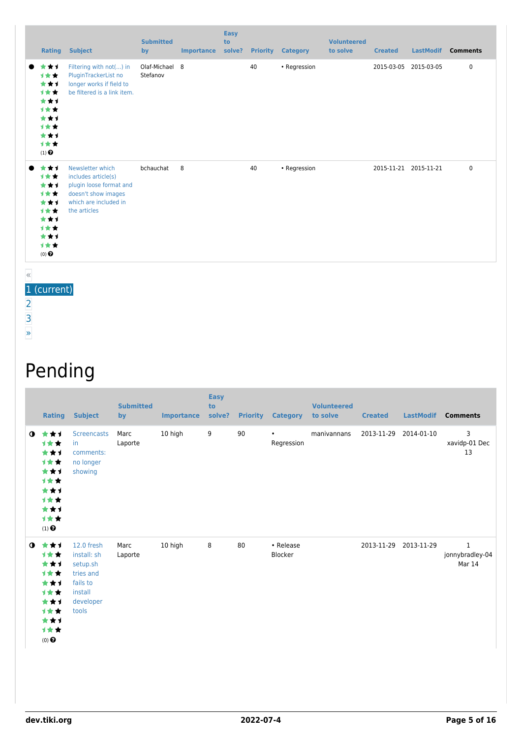| Rating                                                                                           | <b>Subject</b>                                                                                                                     | <b>Submitted</b><br>by     | <b>Importance</b> | <b>Easy</b><br>to<br>solve? |    | <b>Priority Category</b> | <b>Volunteered</b><br>to solve | <b>Created</b> | <b>LastModif</b>      | <b>Comments</b> |
|--------------------------------------------------------------------------------------------------|------------------------------------------------------------------------------------------------------------------------------------|----------------------------|-------------------|-----------------------------|----|--------------------------|--------------------------------|----------------|-----------------------|-----------------|
| ***<br>$\bullet$<br>1★★<br>***<br>1★★<br>***<br>1★★<br>***<br>1★★<br>***<br>1★★<br>$(1)$ $\odot$ | Filtering with not() in<br>PluginTrackerList no<br>longer works if field to<br>be filtered is a link item.                         | Olaf-Michael 8<br>Stefanov |                   |                             | 40 | • Regression             |                                |                | 2015-03-05 2015-03-05 | $\pmb{0}$       |
| ***<br>1★★<br>***<br>1★★<br>***<br>计女女<br>***<br>1★★<br>***<br>1★★<br>$(0)$ $\odot$              | Newsletter which<br>includes article(s)<br>plugin loose format and<br>doesn't show images<br>which are included in<br>the articles | bchauchat                  | 8                 |                             | 40 | • Regression             |                                |                | 2015-11-21 2015-11-21 | $\pmb{0}$       |

1 (current)

[2](https://dev.tiki.org/tiki-print.php?page=Tiki12&tr_offset1=20) [3](https://dev.tiki.org/tiki-print.php?page=Tiki12&tr_offset1=40)

«

[»](https://dev.tiki.org/tiki-print.php?page=Tiki12&tr_offset1=20)

## Pending

|           | Rating                                                                                               | <b>Subject</b>                                                                                  | <b>Submitted</b><br>by | <b>Importance</b> | <b>Easy</b><br>to<br>solve? | <b>Priority</b> | <b>Category</b>         | <b>Volunteered</b><br>to solve | <b>Created</b> | <b>LastModif</b>      | <b>Comments</b>                           |
|-----------|------------------------------------------------------------------------------------------------------|-------------------------------------------------------------------------------------------------|------------------------|-------------------|-----------------------------|-----------------|-------------------------|--------------------------------|----------------|-----------------------|-------------------------------------------|
| $\bullet$ | ***<br><b>1**</b><br>***<br>计女女<br>***<br>1★★<br>***<br>1★★<br>***<br>计女女<br>$(1)$<br>$\pmb{\Theta}$ | <b>Screencasts</b><br>in.<br>comments:<br>no longer<br>showing                                  | Marc<br>Laporte        | 10 high           | 9                           | 90              | $\bullet$<br>Regression | manivannans                    | 2013-11-29     | 2014-01-10            | 3<br>xavidp-01 Dec<br>13                  |
| $\bullet$ | ***<br>计女女<br>***<br>计女女<br>***<br><b>1**</b><br>***<br>***<br>***<br>1★★<br>(0)                     | 12.0 fresh<br>install: sh<br>setup.sh<br>tries and<br>fails to<br>install<br>developer<br>tools | Marc<br>Laporte        | 10 high           | 8                           | 80              | • Release<br>Blocker    |                                |                | 2013-11-29 2013-11-29 | $\mathbf{1}$<br>jonnybradley-04<br>Mar 14 |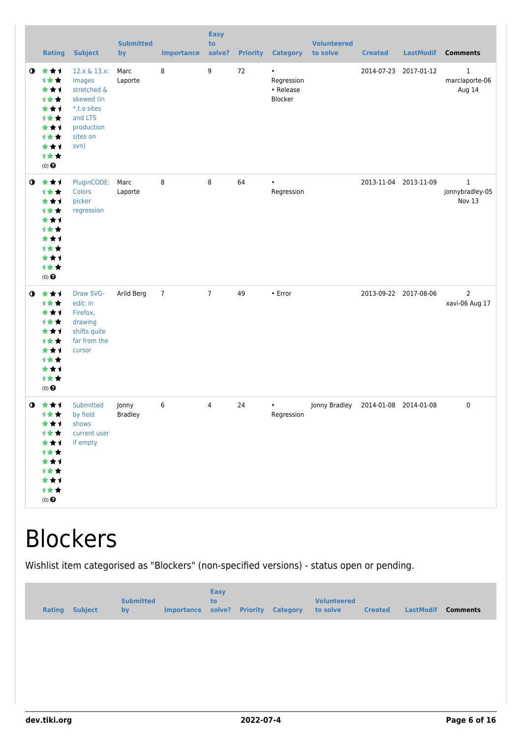|           | <b>Rating</b>                                                                              | <b>Subject</b>                                                                                                  | <b>Submitted</b><br>by  | <b>Importance</b> | <b>Easy</b><br>to<br>solve? |    | <b>Priority Category</b>                        | <b>Volunteered</b><br>to solve | <b>Created</b> | <b>LastModif</b>      | <b>Comments</b>                           |
|-----------|--------------------------------------------------------------------------------------------|-----------------------------------------------------------------------------------------------------------------|-------------------------|-------------------|-----------------------------|----|-------------------------------------------------|--------------------------------|----------------|-----------------------|-------------------------------------------|
| $\bullet$ | 大女子<br>计女女<br>★★1<br>计女女<br>***<br>计女女<br>***<br>计女女<br>***<br>计女女<br>$(0)$ $\odot$        | 12.x & 13.x:<br>Images<br>stretched &<br>skewed (in<br>*.t.o sites<br>and LTS<br>production<br>sites on<br>svn) | Marc<br>Laporte         | 8                 | 9                           | 72 | $\bullet$<br>Regression<br>• Release<br>Blocker |                                |                | 2014-07-23 2017-01-12 | $\mathbf{1}$<br>marclaporte-06<br>Aug 14  |
| $\bullet$ | 大女子<br>计女女<br>***<br>计女女<br>***<br>计女女<br>***<br><b>1**</b><br>***<br>计女女<br>$(0)$ $\odot$ | PluginCODE:<br>Colors<br>picker<br>regression                                                                   | Marc<br>Laporte         | 8                 | 8                           | 64 | $\bullet$<br>Regression                         |                                |                | 2013-11-04 2013-11-09 | $\mathbf{1}$<br>jonnybradley-05<br>Nov 13 |
| $\bullet$ | ***<br>计女女<br>***<br>计女女<br>★★1<br>计女女<br>***<br>计女女<br>***<br>计女女<br>$(0)$ $\odot$        | Draw SVG-<br>edit: in<br>Firefox,<br>drawing<br>shifts quite<br>far from the<br>cursor                          | Arild Berg              | $\overline{7}$    | $\overline{7}$              | 49 | • Error                                         |                                |                | 2013-09-22 2017-08-06 | $\overline{2}$<br>xavi-06 Aug 17          |
| $\bullet$ | ***<br>计女女<br>***<br>计女女<br>***<br>计女女<br>***<br>计女女<br>***<br>计女女<br>$(0)$ $\odot$        | Submitted<br>by field<br>shows<br>current user<br>if empty                                                      | Jonny<br><b>Bradley</b> | 6                 | $\overline{4}$              | 24 | Regression                                      | Jonny Bradley                  |                | 2014-01-08 2014-01-08 | $\mathbf 0$                               |

# **Blockers**

Wishlist item categorised as "Blockers" (non-specified versions) - status open or pending.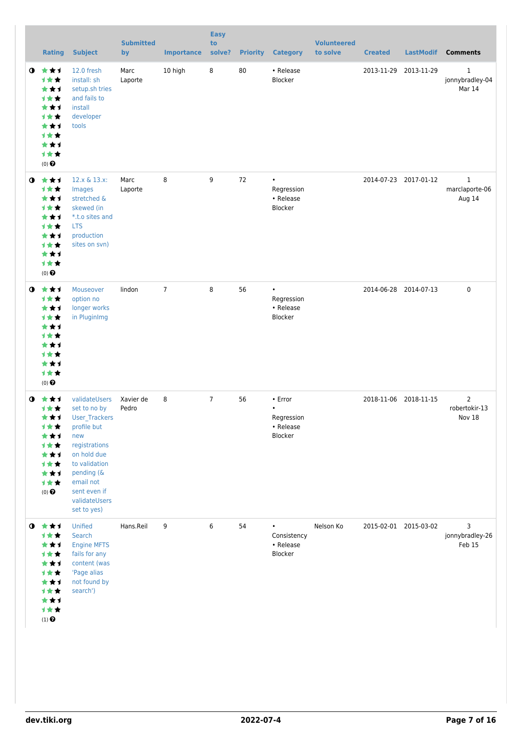|             | <b>Rating</b>                                                                                                   | <b>Subject</b>                                                                                                                                                                                   | <b>Submitted</b><br>by | <b>Importance</b> | <b>Easy</b><br>to<br>solve? |    | <b>Priority Category</b>                                   | <b>Volunteered</b><br>to solve | <b>Created</b> | <b>LastModif</b>      | <b>Comments</b>                           |
|-------------|-----------------------------------------------------------------------------------------------------------------|--------------------------------------------------------------------------------------------------------------------------------------------------------------------------------------------------|------------------------|-------------------|-----------------------------|----|------------------------------------------------------------|--------------------------------|----------------|-----------------------|-------------------------------------------|
| $\bullet$   | 大大大<br>计女女<br>***<br>计女女<br>***<br>1★★<br>***<br><b>1★★</b><br>***<br>1★★<br>$(0)$ $\odot$                      | 12.0 fresh<br>install: sh<br>setup.sh tries<br>and fails to<br>install<br>developer<br>tools                                                                                                     | Marc<br>Laporte        | 10 high           | 8                           | 80 | • Release<br>Blocker                                       |                                |                | 2013-11-29 2013-11-29 | $\mathbf{1}$<br>jonnybradley-04<br>Mar 14 |
| 0           | 大女子<br>计女女<br>***<br>1★★<br>★★1<br>计女女<br>***<br>1★★<br>***<br>计女女<br>$(0)$ $\odot$                             | 12.x & 13.x:<br>Images<br>stretched &<br>skewed (in<br>*.t.o sites and<br><b>LTS</b><br>production<br>sites on svn)                                                                              | Marc<br>Laporte        | 8                 | 9                           | 72 | $\bullet$<br>Regression<br>• Release<br>Blocker            |                                |                | 2014-07-23 2017-01-12 | $\mathbf{1}$<br>marclaporte-06<br>Aug 14  |
| $\bullet$   | ***<br>1★★<br>***<br>计女女<br>***<br><b>1**</b><br>***<br><b>1**</b><br>***<br>1★★<br>$(0)$ $\odot$               | Mouseover<br>option no<br>longer works<br>in PluginImg                                                                                                                                           | lindon                 | $\overline{7}$    | 8                           | 56 | $\bullet$<br>Regression<br>• Release<br>Blocker            |                                |                | 2014-06-28 2014-07-13 | 0                                         |
| $\mathbf 0$ | - 食 食 ず<br>计女女<br>***<br>计女女<br>***<br>计女女<br>***<br>计女女<br>***<br>计女女<br>$(0)$ $\odot$                         | validateUsers<br>set to no by<br>User_Trackers<br>profile but<br>new<br>registrations<br>on hold due<br>to validation<br>pending (&<br>email not<br>sent even if<br>validateUsers<br>set to yes) | Xavier de<br>Pedro     | 8                 | $\overline{7}$              | 56 | • Error<br>$\bullet$<br>Regression<br>• Release<br>Blocker |                                |                | 2018-11-06 2018-11-15 | $\overline{2}$<br>robertokir-13<br>Nov 18 |
|             | $0$ $\star\star\star$<br>计女女<br>***<br>计女女<br>***<br>计女女<br>***<br>计女女<br>***<br>计女女<br>$(1)$<br>$\pmb{\Theta}$ | Unified<br>Search<br><b>Engine MFTS</b><br>fails for any<br>content (was<br>'Page alias<br>not found by<br>search')                                                                              | Hans.Reil              | 9                 | 6                           | 54 | $\bullet$<br>Consistency<br>• Release<br>Blocker           | Nelson Ko                      |                | 2015-02-01 2015-03-02 | 3<br>jonnybradley-26<br>Feb 15            |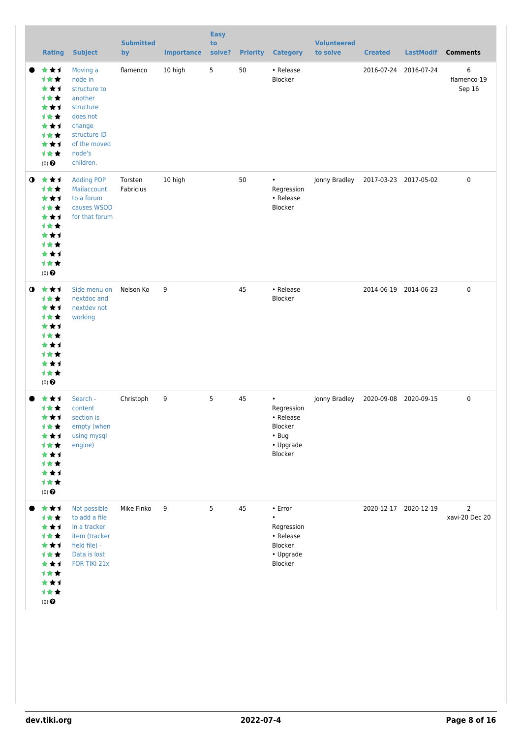|             | <b>Rating</b>                                                                                                           | <b>Subject</b>                                                                                                                           | <b>Submitted</b><br>by | <b>Importance</b> | <b>Easy</b><br>to<br>solve? |    | <b>Priority Category</b>                                                               | <b>Volunteered</b><br>to solve | <b>Created</b>        | <b>LastModif</b>      | <b>Comments</b>                  |
|-------------|-------------------------------------------------------------------------------------------------------------------------|------------------------------------------------------------------------------------------------------------------------------------------|------------------------|-------------------|-----------------------------|----|----------------------------------------------------------------------------------------|--------------------------------|-----------------------|-----------------------|----------------------------------|
|             | ***<br>计女女<br>***<br>计女女<br>***<br><b>1**</b><br>***<br>计女女<br>***<br>***<br>$(0)$ $\bigodot$                           | Moving a<br>node in<br>structure to<br>another<br>structure<br>does not<br>change<br>structure ID<br>of the moved<br>node's<br>children. | flamenco               | 10 high           | 5                           | 50 | • Release<br>Blocker                                                                   |                                | 2016-07-24 2016-07-24 |                       | 6<br>flamenco-19<br>Sep 16       |
| $\mathbf o$ | ***<br>计女女<br>***<br>计女女<br>***<br>计女女<br>***<br>计女女<br>***<br>计女女<br>$(0)$ $\odot$                                     | <b>Adding POP</b><br>Mailaccount<br>to a forum<br>causes WSOD<br>for that forum                                                          | Torsten<br>Fabricius   | 10 high           |                             | 50 | $\bullet$<br>Regression<br>• Release<br>Blocker                                        | Jonny Bradley                  | 2017-03-23 2017-05-02 |                       | $\boldsymbol{0}$                 |
| $\mathbf 0$ | ***<br>计女女<br>***<br><b>1**</b><br>★★1<br><b>1**</b><br>***<br>计女女<br>***<br>计女女<br>$(0)$ <sup><math>\odot</math></sup> | Side menu on<br>nextdoc and<br>nextdev not<br>working                                                                                    | Nelson Ko              | 9                 |                             | 45 | • Release<br>Blocker                                                                   |                                |                       | 2014-06-19 2014-06-23 | 0                                |
|             | ***<br>计女女<br>***<br>才女女<br>计女女<br>***<br>计女女<br>***<br>计女女<br>$(0)$<br>$\pmb{\Theta}$                                  | Search -<br>content<br>section is<br>empty (when<br>using mysql<br>engine)                                                               | Christoph              | 9                 | 5                           | 45 | $\bullet$<br>Regression<br>• Release<br>Blocker<br>$\cdot$ Bug<br>• Upgrade<br>Blocker | Jonny Bradley                  | 2020-09-08 2020-09-15 |                       | $\pmb{0}$                        |
|             | ***<br>计女女<br>***<br><b>1**</b><br>***<br>计女女<br>***<br><b>1**</b><br>***<br>计女女<br>$(0)$ $\odot$                       | Not possible<br>to add a file<br>in a tracker<br>item (tracker<br>field file) -<br>Data is lost<br>FOR TIKI 21x                          | Mike Finko             | 9                 | 5                           | 45 | • Error<br>$\bullet$<br>Regression<br>• Release<br>Blocker<br>• Upgrade<br>Blocker     |                                | 2020-12-17 2020-12-19 |                       | $\overline{2}$<br>xavi-20 Dec 20 |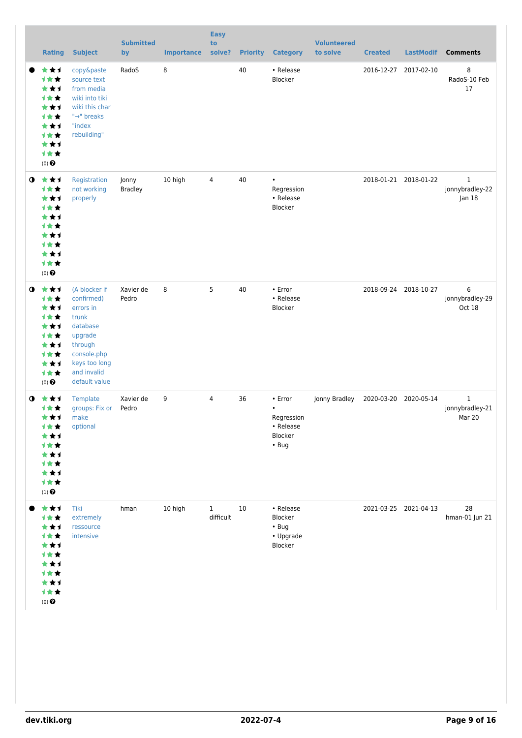|             | <b>Rating</b>                                                                                        | <b>Subject</b>                                                                                                                                      | <b>Submitted</b><br>by  | <b>Importance</b> | <b>Easy</b><br>to<br>solve? |    | <b>Priority Category</b>                                                        | <b>Volunteered</b><br>to solve | <b>Created</b> | <b>LastModif</b>      | <b>Comments</b>                           |
|-------------|------------------------------------------------------------------------------------------------------|-----------------------------------------------------------------------------------------------------------------------------------------------------|-------------------------|-------------------|-----------------------------|----|---------------------------------------------------------------------------------|--------------------------------|----------------|-----------------------|-------------------------------------------|
|             | ***<br>计女女<br>★★1<br>计女女<br>***<br><b>1**</b><br>***<br><b>1**</b><br>***<br>***<br>$(0)$ $\bigodot$ | copy&paste<br>source text<br>from media<br>wiki into tiki<br>wiki this char<br>"→" breaks<br>"index<br>rebuilding"                                  | RadoS                   | 8                 |                             | 40 | • Release<br>Blocker                                                            |                                |                | 2016-12-27 2017-02-10 | 8<br>RadoS-10 Feb<br>$17$                 |
| $\mathbf o$ | 大大才<br>计女女<br>***<br>计女女<br>***<br><b>1**</b><br>***<br>计女女<br>***<br>计女女<br>$(0)$ $\bigodot$        | Registration<br>not working<br>properly                                                                                                             | Jonny<br><b>Bradley</b> | 10 high           | 4                           | 40 | Regression<br>• Release<br>Blocker                                              |                                |                | 2018-01-21 2018-01-22 | $\mathbf{1}$<br>jonnybradley-22<br>Jan 18 |
| $\bullet$   | ***<br>计女女<br>***<br>才女女<br>***<br>计女女<br>***<br>计女女<br>***<br>计女女<br>$(0)$ $\bigodot$               | (A blocker if<br>confirmed)<br>errors in<br>trunk<br>database<br>upgrade<br>through<br>console.php<br>keys too long<br>and invalid<br>default value | Xavier de<br>Pedro      | 8                 | 5                           | 40 | • Error<br>• Release<br>Blocker                                                 |                                |                | 2018-09-24 2018-10-27 | 6<br>jonnybradley-29<br>Oct 18            |
|             | ❶ ★★★<br>1★★<br>***<br>计女女<br>计女女<br>***<br>计女女<br>***<br>计女女<br>$(1)$<br>$\pmb{\Theta}$             | Template<br>groups: Fix or<br>make<br>optional                                                                                                      | Xavier de<br>Pedro      | 9                 | $\overline{4}$              | 36 | $\cdot$ Error<br>$\bullet$<br>Regression<br>• Release<br>Blocker<br>$\cdot$ Bug | Jonny Bradley                  |                | 2020-03-20 2020-05-14 | $\mathbf{1}$<br>jonnybradley-21<br>Mar 20 |
|             | 女女子<br>计女女<br>***<br><b>1**</b><br>***<br>计女女<br>***<br>才女女<br>***<br>计女女<br>$(0)$<br>$\pmb{\Theta}$ | Tiki<br>extremely<br>ressource<br>intensive                                                                                                         | hman                    | 10 high           | $\mathbf{1}$<br>difficult   | 10 | • Release<br>Blocker<br>$\cdot$ Bug<br>• Upgrade<br>Blocker                     |                                |                | 2021-03-25 2021-04-13 | 28<br>hman-01 Jun 21                      |
|             |                                                                                                      |                                                                                                                                                     |                         |                   |                             |    |                                                                                 |                                |                |                       |                                           |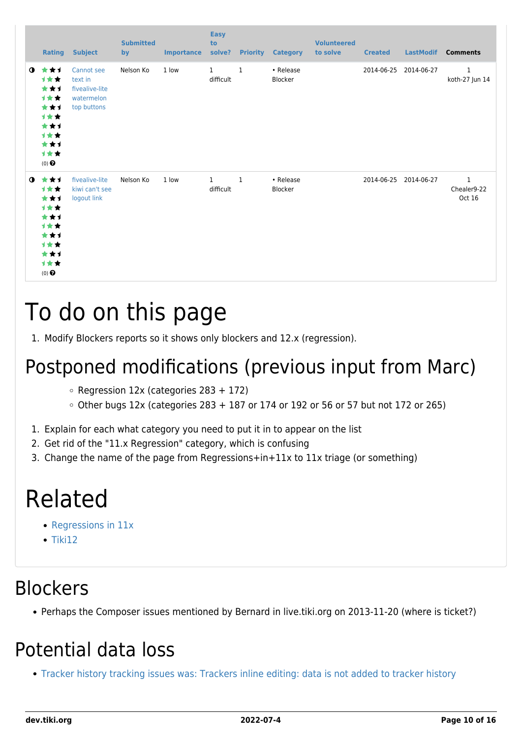|           | <b>Rating</b>                                                                              | <b>Subject</b>                                                       | <b>Submitted</b><br>by | <b>Importance</b> | <b>Easy</b><br>to<br>solve? | <b>Priority</b> | <b>Category</b>             | <b>Volunteered</b><br>to solve | <b>Created</b>        | <b>LastModif</b> | <b>Comments</b>                       |
|-----------|--------------------------------------------------------------------------------------------|----------------------------------------------------------------------|------------------------|-------------------|-----------------------------|-----------------|-----------------------------|--------------------------------|-----------------------|------------------|---------------------------------------|
| $\bullet$ | ***<br>1★★<br>***<br>计女女<br>***<br>计女女<br>***<br>计女女<br>***<br>计女女<br>$(0)$ $\odot$        | Cannot see<br>text in<br>fivealive-lite<br>watermelon<br>top buttons | Nelson Ko              | 1 low             | $\mathbf{1}$<br>difficult   | $\mathbf{1}$    | • Release<br><b>Blocker</b> |                                | 2014-06-25            | 2014-06-27       | $1\,$<br>koth-27 Jun 14               |
| $\bullet$ | ***<br>1★★<br>***<br>计女女<br>***<br><b>1**</b><br>***<br>计女女<br>***<br>计女女<br>$(0)$ $\odot$ | fivealive-lite<br>kiwi can't see<br>logout link                      | Nelson Ko              | 1 low             | $\mathbf{1}$<br>difficult   | $\mathbf{1}$    | • Release<br><b>Blocker</b> |                                | 2014-06-25 2014-06-27 |                  | $\mathbf{1}$<br>Chealer9-22<br>Oct 16 |

# To do on this page

1. Modify Blockers reports so it shows only blockers and 12.x (regression).

### Postponed modifications (previous input from Marc)

- $\circ$  Regression 12x (categories 283 + 172)
- $\circ$  Other bugs 12x (categories 283 + 187 or 174 or 192 or 56 or 57 but not 172 or 265)
- 1. Explain for each what category you need to put it in to appear on the list
- 2. Get rid of the "11.x Regression" category, which is confusing
- 3. Change the name of the page from Regressions+in+11x to 11x triage (or something)

## Related

- [Regressions in 11x](https://dev.tiki.org/Regressions-in-11x)
- $\bullet$  [Tiki12](https://dev.tiki.org/Tiki12)

#### **Blockers**

Perhaps the Composer issues mentioned by Bernard in live.tiki.org on 2013-11-20 (where is ticket?)

#### Potential data loss

[Tracker history tracking issues was: Trackers inline editing: data is not added to tracker history](https://dev.tiki.org/wish4704)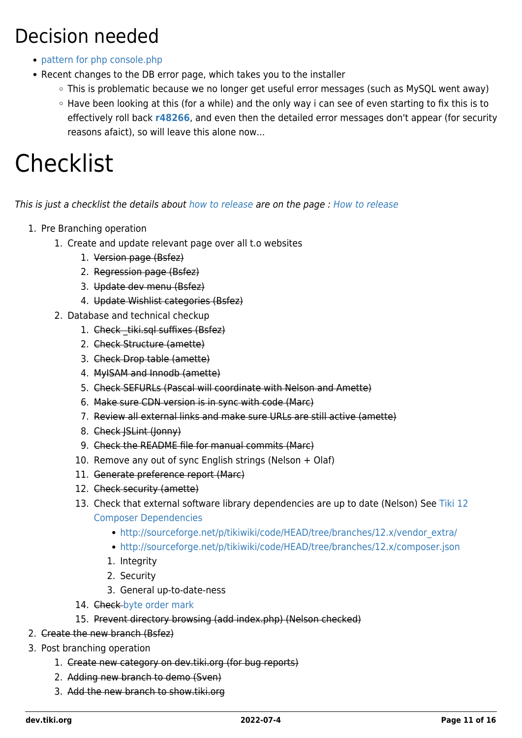#### Decision needed

- [pattern for php console.php](https://tiki.org/forumthread49678)
- Recent changes to the DB error page, which takes you to the installer
	- This is problematic because we no longer get useful error messages (such as MySQL went away)
	- Have been looking at this (for a while) and the only way i can see of even starting to fix this is to effectively roll back **[r48266](http://sourceforge.net/p/tikiwiki/code/48266)**, and even then the detailed error messages don't appear (for security reasons afaict), so will leave this alone now...

## **Checklist**

This is just a checklist the details about [how to release](https://dev.tiki.org/Releasing) are on the page : [How to release](https://dev.tiki.org/Releasing)

- 1. Pre Branching operation
	- 1. Create and update relevant page over all t.o websites
		- 1. Version page (Bsfez)
		- 2. Regression page (Bsfez)
		- 3. Update dev menu (Bsfez)
		- 4. Update Wishlist categories (Bsfez)
	- 2. Database and technical checkup
		- 1. Check tiki.sql suffixes (Bsfez)
		- 2. Check Structure (amette)
		- 3. Check Drop table (amette)
		- 4. MyISAM and Innodb (amette)
		- 5. Check SEFURLs (Pascal will coordinate with Nelson and Amette)
		- 6. Make sure CDN version is in sync with code (Marc)
		- 7. Review all external links and make sure URLs are still active (amette)
		- 8. Check JSLint (Jonny)
		- 9. Check the README file for manual commits (Marc)
		- 10. Remove any out of sync English strings (Nelson + Olaf)
		- 11. Generate preference report (Marc)
		- 12. Check security (amette)
		- 13. Check that external software library dependencies are up to date (Nelson) See [Tiki 12](https://dev.tiki.org/Tiki-12-Composer-Dependencies) [Composer Dependencies](https://dev.tiki.org/Tiki-12-Composer-Dependencies)
			- [http://sourceforge.net/p/tikiwiki/code/HEAD/tree/branches/12.x/vendor\\_extra/](http://sourceforge.net/p/tikiwiki/code/HEAD/tree/branches/12.x/vendor_extra/)
			- <http://sourceforge.net/p/tikiwiki/code/HEAD/tree/branches/12.x/composer.json>
			- 1. Integrity
			- 2. Security
			- 3. General up-to-date-ness
		- 14. Check-[byte order mark](https://dev.tiki.org/byte-order-mark)
		- 15. Prevent directory browsing (add index.php) (Nelson checked)
- 2. Create the new branch (Bsfez)
- 3. Post branching operation
	- 1. Create new category on dev.tiki.org (for bug reports)
	- 2. Adding new branch to demo (Sven)
	- 3. Add the new branch to show.tiki.org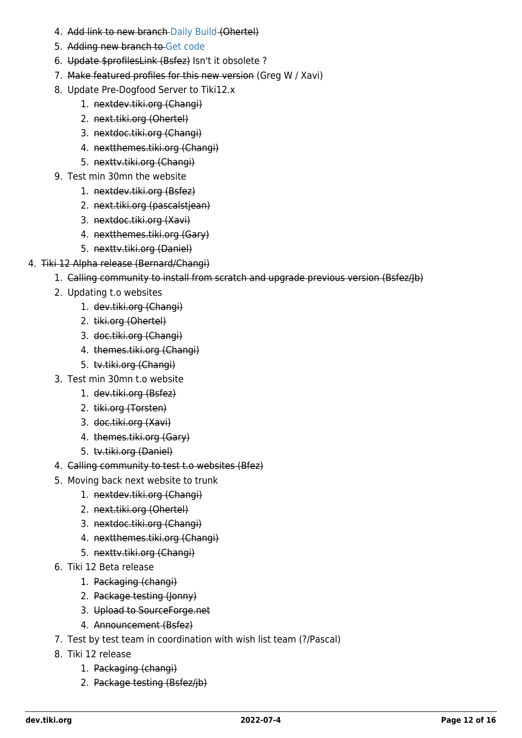- 4. Add link to new branch [Daily Build](https://dev.tiki.org/Daily-Build) (Ohertel)
- 5. Adding new branch to [Get code](https://dev.tiki.org/Get-code)
- 6. Update \$profilesLink (Bsfez) Isn't it obsolete ?
- 7. Make featured profiles for this new version (Greg W / Xavi)
- 8. Update Pre-Dogfood Server to Tiki12.x
	- 1. nextdev.tiki.org (Changi)
	- 2. next.tiki.org (Ohertel)
	- 3. nextdoc.tiki.org (Changi)
	- 4. nextthemes.tiki.org (Changi)
	- 5. nexttv.tiki.org (Changi)
- 9. Test min 30mn the website
	- 1. nextdev.tiki.org (Bsfez)
	- 2. next.tiki.org (pascalstjean)
	- 3. nextdoc.tiki.org (Xavi)
	- 4. nextthemes.tiki.org (Gary)
	- 5. nexttv.tiki.org (Daniel)
- 4. Tiki 12 Alpha release (Bernard/Changi)
	- 1. Calling community to install from scratch and upgrade previous version (Bsfez/Jb)
	- 2. Updating t.o websites
		- 1. dev.tiki.org (Changi)
		- 2. tiki.org (Ohertel)
		- 3. doc.tiki.org (Changi)
		- 4. themes.tiki.org (Changi)
		- 5. tv.tiki.org (Changi)
	- 3. Test min 30mn t.o website
		- 1. dev.tiki.org (Bsfez)
		- 2. tiki.org (Torsten)
		- 3. doc.tiki.org (Xavi)
		- 4. themes.tiki.org (Gary)
		- 5. tv.tiki.org (Daniel)
	- 4. Calling community to test t.o websites (Bfez)
	- 5. Moving back next website to trunk
		- 1. nextdev.tiki.org (Changi)
		- 2. next.tiki.org (Ohertel)
		- 3. nextdoc.tiki.org (Changi)
		- 4. nextthemes.tiki.org (Changi)
		- 5. nexttv.tiki.org (Changi)
	- 6. Tiki 12 Beta release
		- 1. Packaging (changi)
		- 2. Package testing (Jonny)
		- 3. Upload to SourceForge.net
		- 4. Announcement (Bsfez)
	- 7. Test by test team in coordination with wish list team (?/Pascal)
	- 8. Tiki 12 release
		- 1. Packaging (changi)
		- 2. Package testing (Bsfez/jb)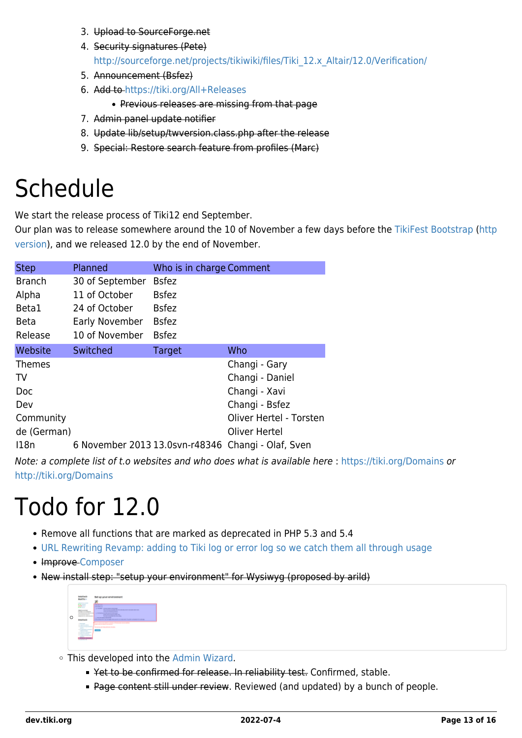- 3. Upload to SourceForge.net
- 4. Security signatures (Pete) [http://sourceforge.net/projects/tikiwiki/files/Tiki\\_12.x\\_Altair/12.0/Verification/](http://sourceforge.net/projects/tikiwiki/files/Tiki_12.x_Altair/12.0/Verification/)
- 5. Announcement (Bsfez)
- 6. Add to <https://tiki.org/All+Releases>
	- Previous releases are missing from that page
- 7. Admin panel update notifier
- 8. Update lib/setup/twversion.class.php after the release
- 9. Special: Restore search feature from profiles (Marc)

## Schedule

We start the release process of Tiki12 end September.

Our plan was to release somewhere around the 10 of November a few days before the [TikiFest Bootstrap](https://tiki.org/TikiFestBootstrap) ([http](http://tiki.org/TikiFestBootstrap) [version](http://tiki.org/TikiFestBootstrap)), and we released 12.0 by the end of November.

| <b>Step</b>   | Planned         | Who is in charge Comment |                                                    |
|---------------|-----------------|--------------------------|----------------------------------------------------|
| <b>Branch</b> | 30 of September | <b>Bsfez</b>             |                                                    |
| Alpha         | 11 of October   | <b>Bsfez</b>             |                                                    |
| Beta1         | 24 of October   | <b>Bsfez</b>             |                                                    |
| <b>Beta</b>   | Early November  | <b>Bsfez</b>             |                                                    |
| Release       | 10 of November  | <b>Bsfez</b>             |                                                    |
| Website       | Switched        | Target                   | Who                                                |
| <b>Themes</b> |                 |                          | Changi - Gary                                      |
| TV            |                 |                          | Changi - Daniel                                    |
| Doc           |                 |                          | Changi - Xavi                                      |
| Dev           |                 |                          | Changi - Bsfez                                     |
| Community     |                 |                          | Oliver Hertel - Torsten                            |
| de (German)   |                 |                          | Oliver Hertel                                      |
| 118n          |                 |                          | 6 November 2013 13.0svn-r48346 Changi - Olaf, Sven |

Note: a complete list of t.o websites and who does what is available here :<https://tiki.org/Domains> or <http://tiki.org/Domains>

## Todo for 12.0

- Remove all functions that are marked as deprecated in PHP 5.3 and 5.4
- [URL Rewriting Revamp: adding to Tiki log or error log so we catch them all through usage](https://dev.tiki.org/wish4551)
- Improve [Composer](https://dev.tiki.org/Composer)
- New install step: "setup your environment" for Wysiwyg (proposed by arild)



- This developed into the [Admin Wizard.](https://dev.tiki.org/Admin-Wizard)
	- Yet to be confirmed for release. In reliability test. Confirmed, stable.
	- Page content still under review. Reviewed (and updated) by a bunch of people.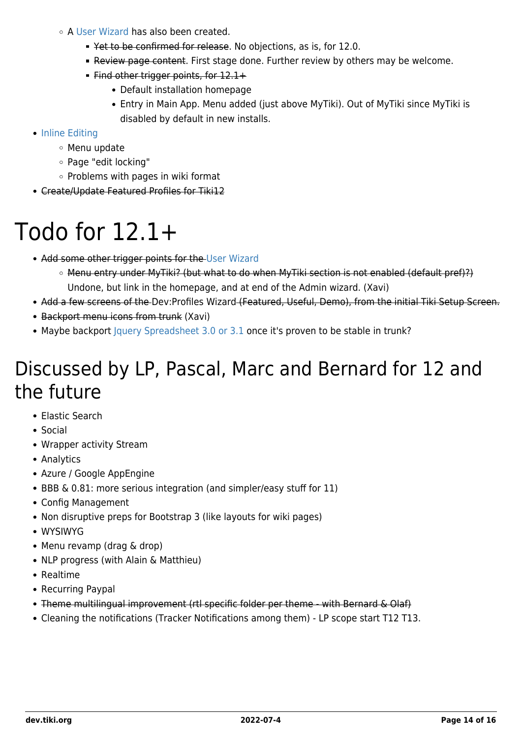- A [User Wizard](http://doc.tiki.org/User%20Wizard) has also been created.
	- Yet to be confirmed for release. No objections, as is, for 12.0.
	- Review page content. First stage done. Further review by others may be welcome.
	- Find other trigger points, for 12.1+
		- Default installation homepage
		- Entry in Main App. Menu added (just above MyTiki). Out of MyTiki since MyTiki is disabled by default in new installs.
- [Inline Editing](https://dev.tiki.org/Inline-Editing)
	- Menu update
	- Page "edit locking"
	- $\circ$  Problems with pages in wiki format
- Create/Update Featured Profiles for Tiki12

## Todo for 12.1+

- Add some other trigger points for the [User Wizard](http://doc.tiki.org/User%20Wizard)
	- Menu entry under MyTiki? (but what to do when MyTiki section is not enabled (default pref)?) Undone, but link in the homepage, and at end of the Admin wizard. (Xavi)
- Add a few screens of the [Dev:Profiles Wizard](https://dev.tiki.org/tiki-editpage.php?page=Dev%3AProfiles+Wizard) (Featured, Useful, Demo), from the initial Tiki Setup Screen.
- Backport menu icons from trunk (Xavi)
- Maybe backport [Jquery Spreadsheet 3.0 or 3.1](https://code.google.com/p/jquerysheet/) once it's proven to be stable in trunk?

#### Discussed by LP, Pascal, Marc and Bernard for 12 and the future

- Elastic Search
- Social
- Wrapper activity Stream
- Analytics
- Azure / Google AppEngine
- BBB & 0.81: more serious integration (and simpler/easy stuff for 11)
- Config Management
- Non disruptive preps for Bootstrap 3 (like layouts for wiki pages)
- WYSIWYG
- Menu revamp (drag & drop)
- NLP progress (with Alain & Matthieu)
- Realtime
- Recurring Paypal
- Theme multilingual improvement (rtl specific folder per theme with Bernard & Olaf)
- Cleaning the notifications (Tracker Notifications among them) LP scope start T12 T13.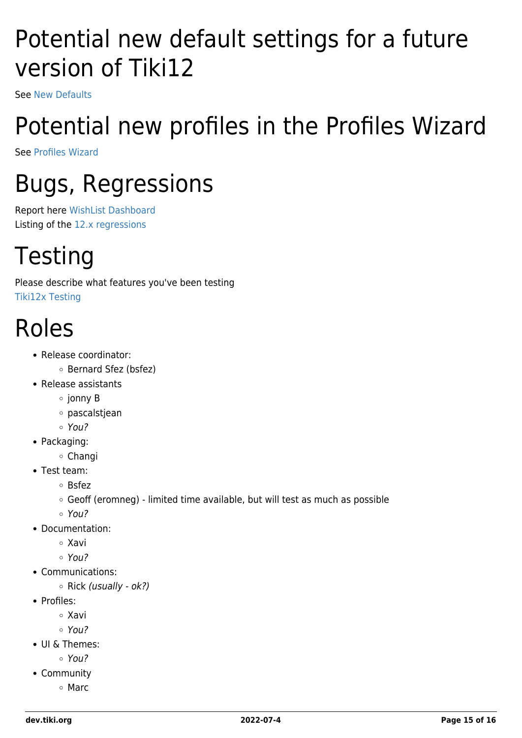## Potential new default settings for a future version of Tiki12

See [New Defaults](https://dev.tiki.org/New-Defaults)

# Potential new profiles in the Profiles Wizard

See [Profiles Wizard](https://dev.tiki.org/Profiles-Wizard)

# Bugs, Regressions

Report here [WishList Dashboard](https://dev.tiki.org/Wishlist-Bugs) Listing of the [12.x regressions](https://dev.tiki.org/Regressions+in+12x)

# **Testing**

Please describe what features you've been testing [Tiki12x Testing](https://dev.tiki.org/Tiki12x-Testing)

## Roles

- Release coordinator:
	- Bernard Sfez (bsfez)
- Release assistants
	- $\circ$  jonny B
	- pascalstjean
	- You?
- Packaging:
	- Changi
- Test team:
	- Bsfez
	- Geoff (eromneg) limited time available, but will test as much as possible
	- You?
- Documentation:
	- Xavi
	- You?
- Communications:
	- $\circ$  Rick (usually ok?)
- Profiles:
	- Xavi
	- You?
- UI & Themes:
	- You?
- Community
	- Marc